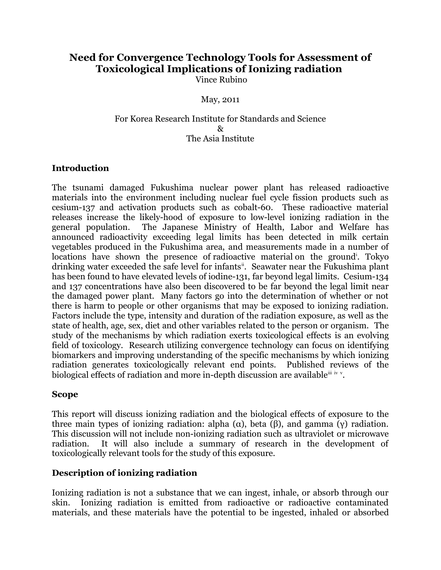#### **Need for Convergence Technology Tools for Assessment of Toxicological Implications of Ionizing radiation**  Vince Rubino

May, 2011

#### For Korea Research Institute for Standards and Science  $\mathcal{R}_{\mathcal{T}}$ The Asia Institute

#### **Introduction**

The tsunami damaged Fukushima nuclear power plant has released radioactive materials into the environment including nuclear fuel cycle fission products such as cesium-137 and activation products such as cobalt-60. These radioactive material releases increase the likely-hood of exposure to low-level ionizing radiation in the general population. The Japanese Ministry of Health, Labor and Welfare has announced radioactivity exceeding legal limits has been detected in milk certain vegetables produced in the Fukushima area, and measurements made in a number of locat[i](#page-7-0)ons have shown the presence of radioactive material on the ground<sup>i</sup>. Tokyo drinking water exceeded the safe level for infants<sup>[ii](#page-7-1)</sup>. Seawater near the Fukushima plant has been found to have elevated levels of iodine-131, far beyond legal limits. Cesium-134 and 137 concentrations have also been discovered to be far beyond the legal limit near the damaged power plant. Many factors go into the determination of whether or not there is harm to people or other organisms that may be exposed to ionizing radiation. Factors include the type, intensity and duration of the radiation exposure, as well as the state of health, age, sex, diet and other variables related to the person or organism. The study of the mechanisms by which radiation exerts toxicological effects is an evolving field of toxicology. Research utilizing convergence technology can focus on identifying biomarkers and improving understanding of the specific mechanisms by which ionizing radiation generates toxicologically relevant end points. Published reviews of the biological effects of radiation and more in-depth discussion are a[v](#page-7-4)ailable  $\ddot{ }$  [iv](#page-7-3) v.

#### **Scope**

This report will discuss ionizing radiation and the biological effects of exposure to the three main types of ionizing radiation: alpha (α), beta (β), and gamma (γ) radiation. This discussion will not include non-ionizing radiation such as ultraviolet or microwave radiation. It will also include a summary of research in the development of toxicologically relevant tools for the study of this exposure.

## **Description of ionizing radiation**

Ionizing radiation is not a substance that we can ingest, inhale, or absorb through our skin. Ionizing radiation is emitted from radioactive or radioactive contaminated materials, and these materials have the potential to be ingested, inhaled or absorbed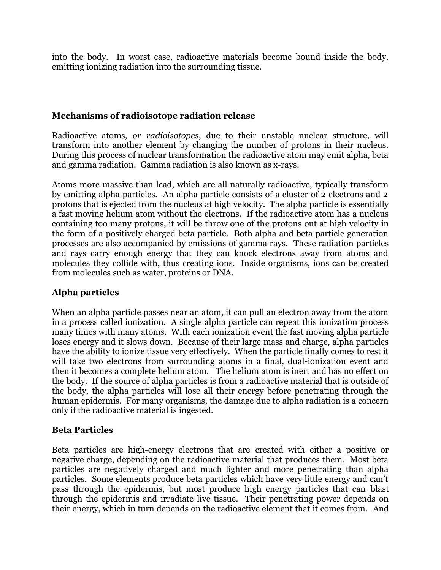into the body. In worst case, radioactive materials become bound inside the body, emitting ionizing radiation into the surrounding tissue.

## **Mechanisms of radioisotope radiation release**

Radioactive atoms, *or radioisotopes*, due to their unstable nuclear structure, will transform into another element by changing the number of protons in their nucleus. During this process of nuclear transformation the radioactive atom may emit alpha, beta and gamma radiation. Gamma radiation is also known as x-rays.

Atoms more massive than lead, which are all naturally radioactive, typically transform by emitting alpha particles. An alpha particle consists of a cluster of 2 electrons and 2 protons that is ejected from the nucleus at high velocity. The alpha particle is essentially a fast moving helium atom without the electrons. If the radioactive atom has a nucleus containing too many protons, it will be throw one of the protons out at high velocity in the form of a positively charged beta particle. Both alpha and beta particle generation processes are also accompanied by emissions of gamma rays. These radiation particles and rays carry enough energy that they can knock electrons away from atoms and molecules they collide with, thus creating ions. Inside organisms, ions can be created from molecules such as water, proteins or DNA.

# **Alpha particles**

When an alpha particle passes near an atom, it can pull an electron away from the atom in a process called ionization. A single alpha particle can repeat this ionization process many times with many atoms. With each ionization event the fast moving alpha particle loses energy and it slows down. Because of their large mass and charge, alpha particles have the ability to ionize tissue very effectively. When the particle finally comes to rest it will take two electrons from surrounding atoms in a final, dual-ionization event and then it becomes a complete helium atom. The helium atom is inert and has no effect on the body. If the source of alpha particles is from a radioactive material that is outside of the body, the alpha particles will lose all their energy before penetrating through the human epidermis. For many organisms, the damage due to alpha radiation is a concern only if the radioactive material is ingested.

## **Beta Particles**

Beta particles are high-energy electrons that are created with either a positive or negative charge, depending on the radioactive material that produces them. Most beta particles are negatively charged and much lighter and more penetrating than alpha particles. Some elements produce beta particles which have very little energy and can't pass through the epidermis, but most produce high energy particles that can blast through the epidermis and irradiate live tissue. Their penetrating power depends on their energy, which in turn depends on the radioactive element that it comes from. And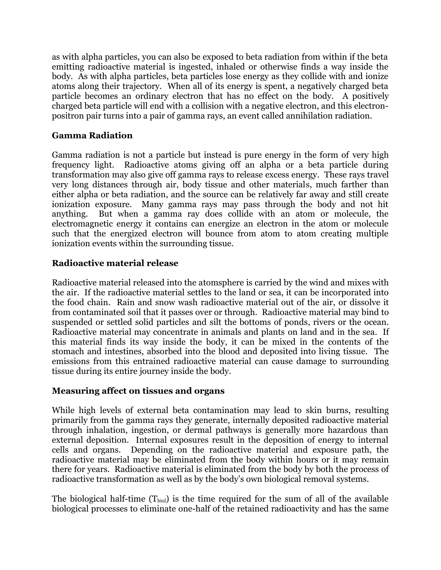as with alpha particles, you can also be exposed to beta radiation from within if the beta emitting radioactive material is ingested, inhaled or otherwise finds a way inside the body. As with alpha particles, beta particles lose energy as they collide with and ionize atoms along their trajectory. When all of its energy is spent, a negatively charged beta particle becomes an ordinary electron that has no effect on the body. A positively charged beta particle will end with a collision with a negative electron, and this electronpositron pair turns into a pair of gamma rays, an event called annihilation radiation.

## **Gamma Radiation**

Gamma radiation is not a particle but instead is pure energy in the form of very high frequency light. Radioactive atoms giving off an alpha or a beta particle during transformation may also give off gamma rays to release excess energy. These rays travel very long distances through air, body tissue and other materials, much farther than either alpha or beta radiation, and the source can be relatively far away and still create ionization exposure. Many gamma rays may pass through the body and not hit anything. But when a gamma ray does collide with an atom or molecule, the electromagnetic energy it contains can energize an electron in the atom or molecule such that the energized electron will bounce from atom to atom creating multiple ionization events within the surrounding tissue.

## **Radioactive material release**

Radioactive material released into the atomsphere is carried by the wind and mixes with the air. If the radioactive material settles to the land or sea, it can be incorporated into the food chain. Rain and snow wash radioactive material out of the air, or dissolve it from contaminated soil that it passes over or through. Radioactive material may bind to suspended or settled solid particles and silt the bottoms of ponds, rivers or the ocean. Radioactive material may concentrate in animals and plants on land and in the sea. If this material finds its way inside the body, it can be mixed in the contents of the stomach and intestines, absorbed into the blood and deposited into living tissue. The emissions from this entrained radioactive material can cause damage to surrounding tissue during its entire journey inside the body.

## **Measuring affect on tissues and organs**

While high levels of external beta contamination may lead to skin burns, resulting primarily from the gamma rays they generate, internally deposited radioactive material through inhalation, ingestion, or dermal pathways is generally more hazardous than external deposition. Internal exposures result in the deposition of energy to internal cells and organs. Depending on the radioactive material and exposure path, the radioactive material may be eliminated from the body within hours or it may remain there for years. Radioactive material is eliminated from the body by both the process of radioactive transformation as well as by the body's own biological removal systems.

The biological half-time  $(T_{biol})$  is the time required for the sum of all of the available biological processes to eliminate one-half of the retained radioactivity and has the same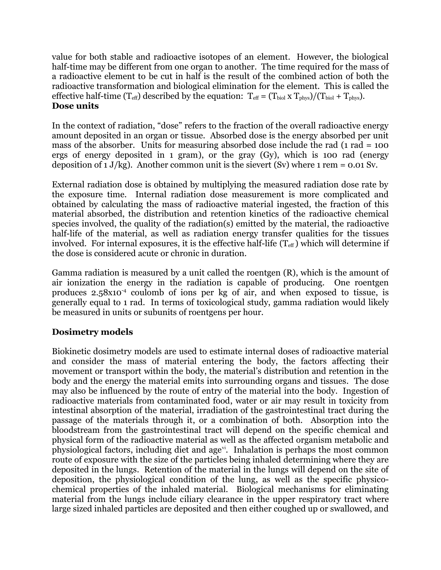value for both stable and radioactive isotopes of an element. However, the biological half-time may be different from one organ to another. The time required for the mass of a radioactive element to be cut in half is the result of the combined action of both the radioactive transformation and biological elimination for the element. This is called the effective half-time  $(T_{\text{eff}})$  described by the equation:  $T_{\text{eff}} = (T_{\text{biol}} \times T_{\text{phys}})/(T_{\text{biol}} + T_{\text{phys}})$ . **Dose units**

In the context of radiation, "dose" refers to the fraction of the overall radioactive energy amount deposited in an organ or tissue. Absorbed dose is the energy absorbed per unit mass of the absorber. Units for measuring absorbed dose include the rad (1 rad = 100 ergs of energy deposited in 1 gram), or the gray (Gy), which is 100 rad (energy deposition of  $1 J/kg$ ). Another common unit is the sievert (Sv) where  $1 rem = 0.01 Sv$ .

External radiation dose is obtained by multiplying the measured radiation dose rate by the exposure time. Internal radiation dose measurement is more complicated and obtained by calculating the mass of radioactive material ingested, the fraction of this material absorbed, the distribution and retention kinetics of the radioactive chemical species involved, the quality of the radiation(s) emitted by the material, the radioactive half-life of the material, as well as radiation energy transfer qualities for the tissues involved. For internal exposures, it is the effective half-life  $(T_{\text{eff}})$  which will determine if the dose is considered acute or chronic in duration.

Gamma radiation is measured by a unit called the roentgen (R), which is the amount of air ionization the energy in the radiation is capable of producing. One roentgen produces  $2.58x10^{-4}$  coulomb of ions per kg of air, and when exposed to tissue, is generally equal to 1 rad. In terms of toxicological study, gamma radiation would likely be measured in units or subunits of roentgens per hour.

# **Dosimetry models**

Biokinetic dosimetry models are used to estimate internal doses of radioactive material and consider the mass of material entering the body, the factors affecting their movement or transport within the body, the material's distribution and retention in the body and the energy the material emits into surrounding organs and tissues. The dose may also be influenced by the route of entry of the material into the body. Ingestion of radioactive materials from contaminated food, water or air may result in toxicity from intestinal absorption of the material, irradiation of the gastrointestinal tract during the passage of the materials through it, or a combination of both. Absorption into the bloodstream from the gastrointestinal tract will depend on the specific chemical and physical form of the radioactive material as well as the affected organism metabolic and physiological factors, including diet and age<sup>[vi](#page-7-5)</sup>. Inhalation is perhaps the most common route of exposure with the size of the particles being inhaled determining where they are deposited in the lungs. Retention of the material in the lungs will depend on the site of deposition, the physiological condition of the lung, as well as the specific physicochemical properties of the inhaled material. Biological mechanisms for eliminating material from the lungs include ciliary clearance in the upper respiratory tract where large sized inhaled particles are deposited and then either coughed up or swallowed, and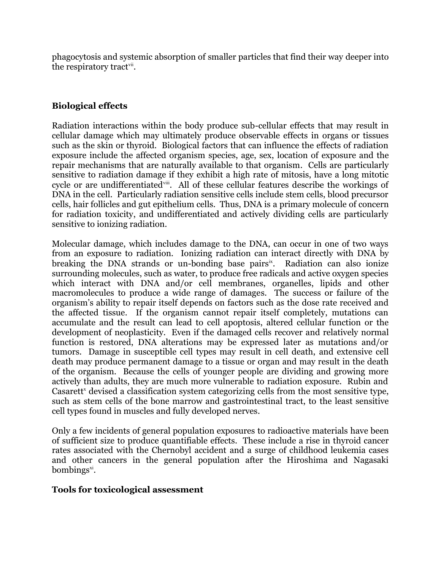phagocytosis and systemic absorption of smaller particles that find their way deeper into the respiratory tract<sup>[vii](#page-7-6)</sup>.

## **Biological effects**

Radiation interactions within the body produce sub-cellular effects that may result in cellular damage which may ultimately produce observable effects in organs or tissues such as the skin or thyroid. Biological factors that can influence the effects of radiation exposure include the affected organism species, age, sex, location of exposure and the repair mechanisms that are naturally available to that organism. Cells are particularly sensitive to radiation damage if they exhibit a high rate of mitosis, have a long mitotic cycle or are undifferentiated<sup>vii</sup>. All of these cellular features describe the workings of DNA in the cell. Particularly radiation sensitive cells include stem cells, blood precursor cells, hair follicles and gut epithelium cells. Thus, DNA is a primary molecule of concern for radiation toxicity, and undifferentiated and actively dividing cells are particularly sensitive to ionizing radiation.

Molecular damage, which includes damage to the DNA, can occur in one of two ways from an exposure to radiation. Ionizing radiation can interact directly with DNA by breaking the DNA strands or un-bonding base pairs<sup>[ix](#page-7-8)</sup>. Radiation can also ionize surrounding molecules, such as water, to produce free radicals and active oxygen species which interact with DNA and/or cell membranes, organelles, lipids and other macromolecules to produce a wide range of damages. The success or failure of the organism's ability to repair itself depends on factors such as the dose rate received and the affected tissue. If the organism cannot repair itself completely, mutations can accumulate and the result can lead to cell apoptosis, altered cellular function or the development of neoplasticity. Even if the damaged cells recover and relatively normal function is restored, DNA alterations may be expressed later as mutations and/or tumors. Damage in susceptible cell types may result in cell death, and extensive cell death may produce permanent damage to a tissue or organ and may result in the death of the organism. Because the cells of younger people are dividing and growing more actively than adults, they are much more vulnerable to radiation exposure. Rubin and Casarett<sup>[x](#page-7-9)</sup> devised a classification system categorizing cells from the most sensitive type, such as stem cells of the bone marrow and gastrointestinal tract, to the least sensitive cell types found in muscles and fully developed nerves.

Only a few incidents of general population exposures to radioactive materials have been of sufficient size to produce quantifiable effects. These include a rise in thyroid cancer rates associated with the Chernobyl accident and a surge of childhood leukemia cases and other cancers in the general population after the Hiroshima and Nagasaki  $\text{bombings}^{\text{xi}}$  $\text{bombings}^{\text{xi}}$  $\text{bombings}^{\text{xi}}$ .

#### **Tools for toxicological assessment**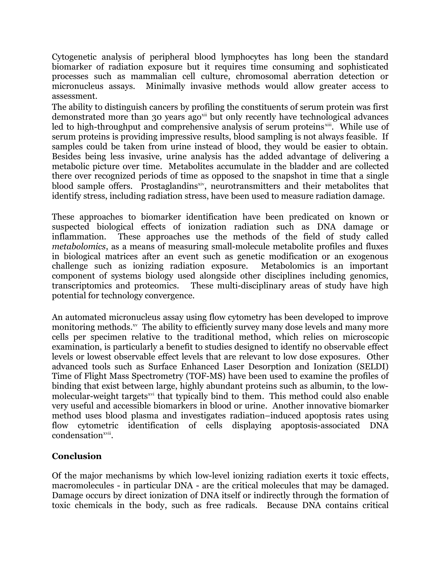Cytogenetic analysis of peripheral blood lymphocytes has long been the standard biomarker of radiation exposure but it requires time consuming and sophisticated processes such as mammalian cell culture, chromosomal aberration detection or micronucleus assays. Minimally invasive methods would allow greater access to assessment.

The ability to distinguish cancers by profiling the constituents of serum protein was first demonstrated more than 30 years ago<sup>[xii](#page-7-11)</sup> but only recently have technological advances led to high-throughput and comprehensive analysis of serum proteins<sup>[xiii](#page-7-12)</sup>. While use of serum proteins is providing impressive results, blood sampling is not always feasible. If samples could be taken from urine instead of blood, they would be easier to obtain. Besides being less invasive, urine analysis has the added advantage of delivering a metabolic picture over time. Metabolites accumulate in the bladder and are collected there over recognized periods of time as opposed to the snapshot in time that a single blood sample offers. Prostaglandins<sup>[xiv](#page-7-13)</sup>, neurotransmitters and their metabolites that identify stress, including radiation stress, have been used to measure radiation damage.

These approaches to biomarker identification have been predicated on known or suspected biological effects of ionization radiation such as DNA damage or inflammation. These approaches use the methods of the field of study called *metabolomics*, as a means of measuring small-molecule metabolite profiles and fluxes in biological matrices after an event such as genetic modification or an exogenous challenge such as ionizing radiation exposure. Metabolomics is an important component of systems biology used alongside other disciplines including genomics, transcriptomics and proteomics. These multi-disciplinary areas of study have high potential for technology convergence.

An automated micronucleus assay using flow cytometry has been developed to improve monitoring methods.<sup>[xv](#page-7-14)</sup> The ability to efficiently survey many dose levels and many more cells per specimen relative to the traditional method, which relies on microscopic examination, is particularly a benefit to studies designed to identify no observable effect levels or lowest observable effect levels that are relevant to low dose exposures. Other advanced tools such as Surface Enhanced Laser Desorption and Ionization (SELDI) Time of Flight Mass Spectrometry (TOF-MS) have been used to examine the profiles of binding that exist between large, highly abundant proteins such as albumin, to the lowmolecular-weight targets<sup>[xvi](#page-7-15)</sup> that typically bind to them. This method could also enable very useful and accessible biomarkers in blood or urine. Another innovative biomarker method uses blood plasma and investigates radiation–induced apoptosis rates using flow cytometric identification of cells displaying apoptosis-associated DNA condensation<sup>[xvii](#page-7-16)</sup>.

# **Conclusion**

Of the major mechanisms by which low-level ionizing radiation exerts it toxic effects, macromolecules - in particular DNA - are the critical molecules that may be damaged. Damage occurs by direct ionization of DNA itself or indirectly through the formation of toxic chemicals in the body, such as free radicals. Because DNA contains critical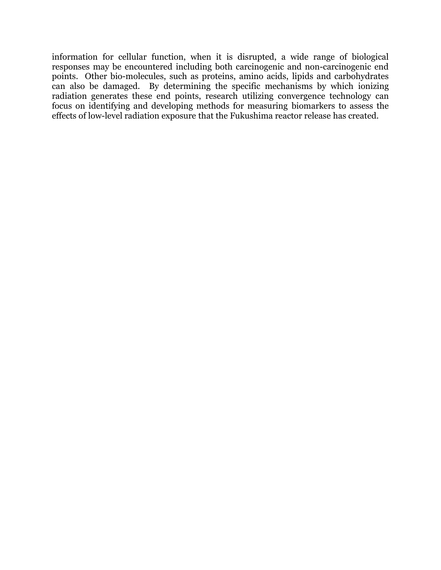information for cellular function, when it is disrupted, a wide range of biological responses may be encountered including both carcinogenic and non-carcinogenic end points. Other bio-molecules, such as proteins, amino acids, lipids and carbohydrates can also be damaged. By determining the specific mechanisms by which ionizing radiation generates these end points, research utilizing convergence technology can focus on identifying and developing methods for measuring biomarkers to assess the effects of low-level radiation exposure that the Fukushima reactor release has created.